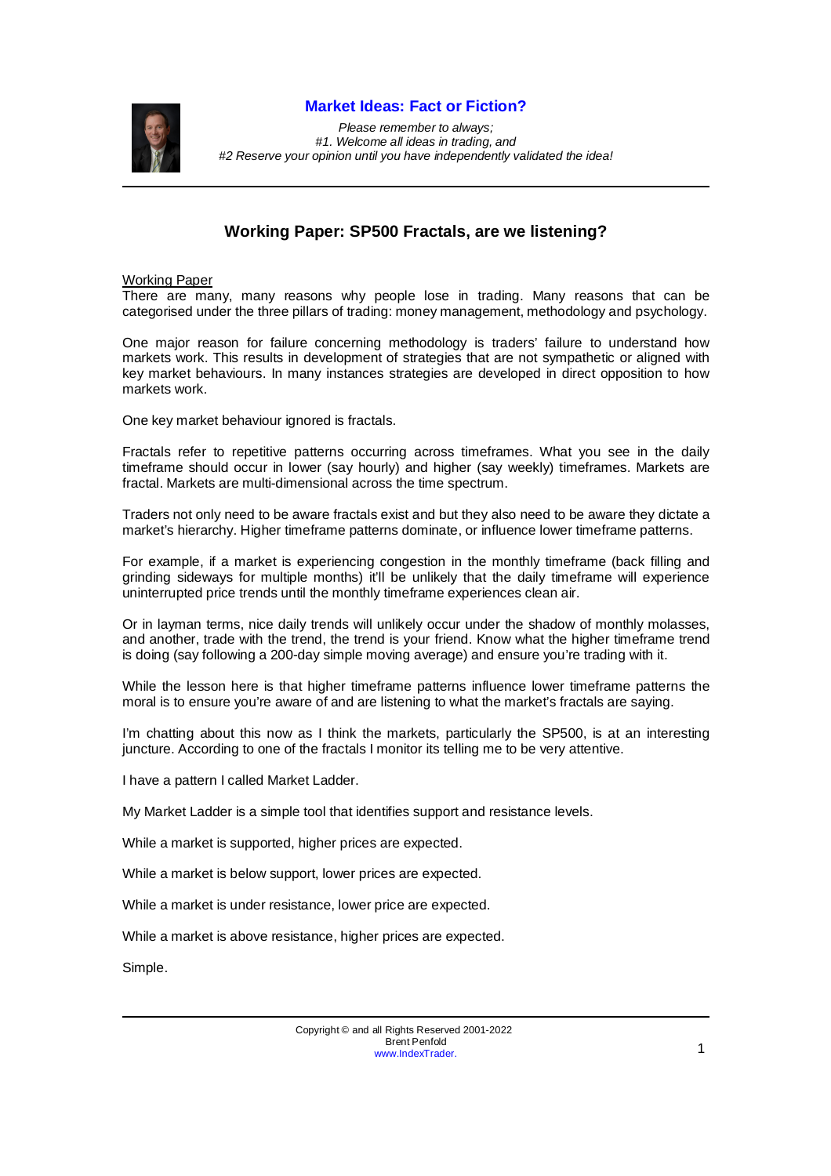

*Please remember to always; #1. Welcome all ideas in trading, and #2 Reserve your opinion until you have independently validated the idea!*

# **Working Paper: SP500 Fractals, are we listening?**

Working Paper

There are many, many reasons why people lose in trading. Many reasons that can be categorised under the three pillars of trading: money management, methodology and psychology.

One major reason for failure concerning methodology is traders' failure to understand how markets work. This results in development of strategies that are not sympathetic or aligned with key market behaviours. In many instances strategies are developed in direct opposition to how markets work.

One key market behaviour ignored is fractals.

Fractals refer to repetitive patterns occurring across timeframes. What you see in the daily timeframe should occur in lower (say hourly) and higher (say weekly) timeframes. Markets are fractal. Markets are multi-dimensional across the time spectrum.

Traders not only need to be aware fractals exist and but they also need to be aware they dictate a market's hierarchy. Higher timeframe patterns dominate, or influence lower timeframe patterns.

For example, if a market is experiencing congestion in the monthly timeframe (back filling and grinding sideways for multiple months) it'll be unlikely that the daily timeframe will experience uninterrupted price trends until the monthly timeframe experiences clean air.

Or in layman terms, nice daily trends will unlikely occur under the shadow of monthly molasses, and another, trade with the trend, the trend is your friend. Know what the higher timeframe trend is doing (say following a 200-day simple moving average) and ensure you're trading with it.

While the lesson here is that higher timeframe patterns influence lower timeframe patterns the moral is to ensure you're aware of and are listening to what the market's fractals are saying.

I'm chatting about this now as I think the markets, particularly the SP500, is at an interesting juncture. According to one of the fractals I monitor its telling me to be very attentive.

I have a pattern I called Market Ladder.

My Market Ladder is a simple tool that identifies support and resistance levels.

While a market is supported, higher prices are expected.

While a market is below support, lower prices are expected.

While a market is under resistance, lower price are expected.

While a market is above resistance, higher prices are expected.

Simple.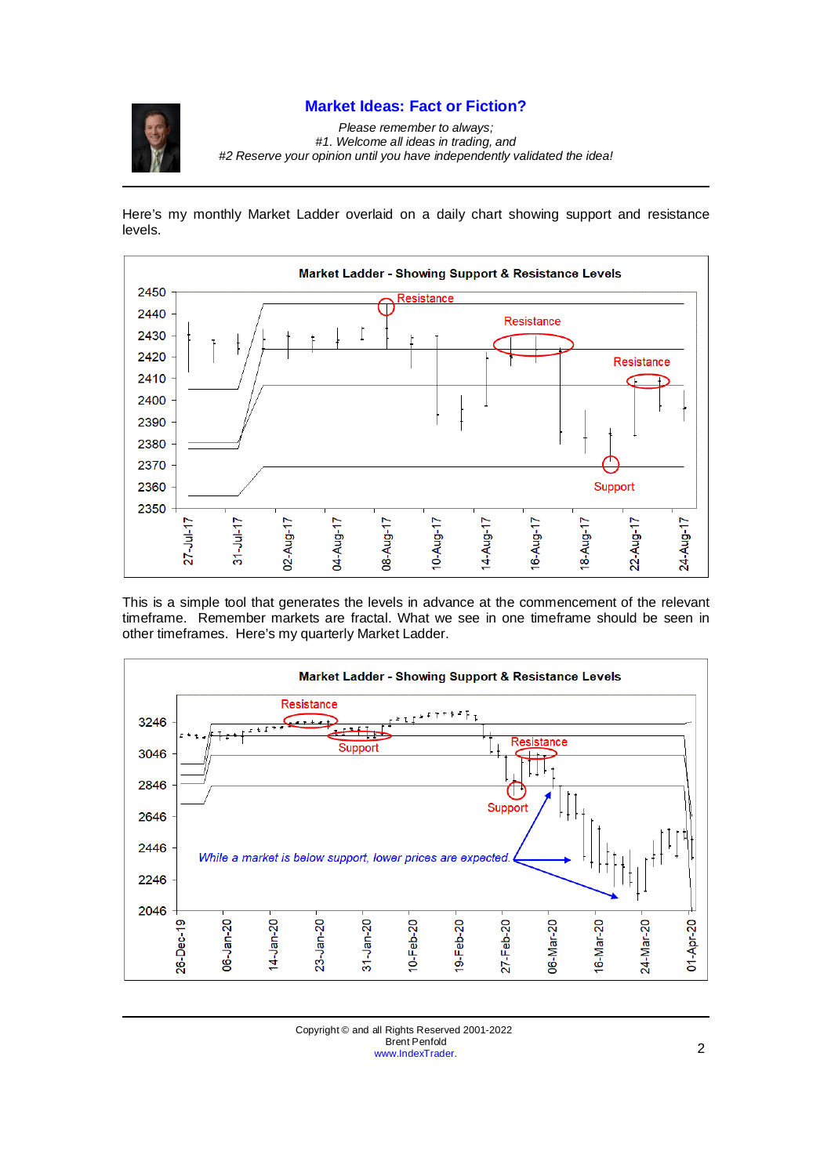

Please remember to always; *#1. Welcome all ideas in trading, and #2 Reserve your opinion until you have independently validated the idea!*

Here's my monthly Market Ladder overlaid on a daily chart showing support and resistance levels.



This is a simple tool that generates the levels in advance at the commencement of the relevant timeframe. Remember markets are fractal. What we see in one timeframe should be seen in other timeframes. Here's my quarterly Market Ladder.

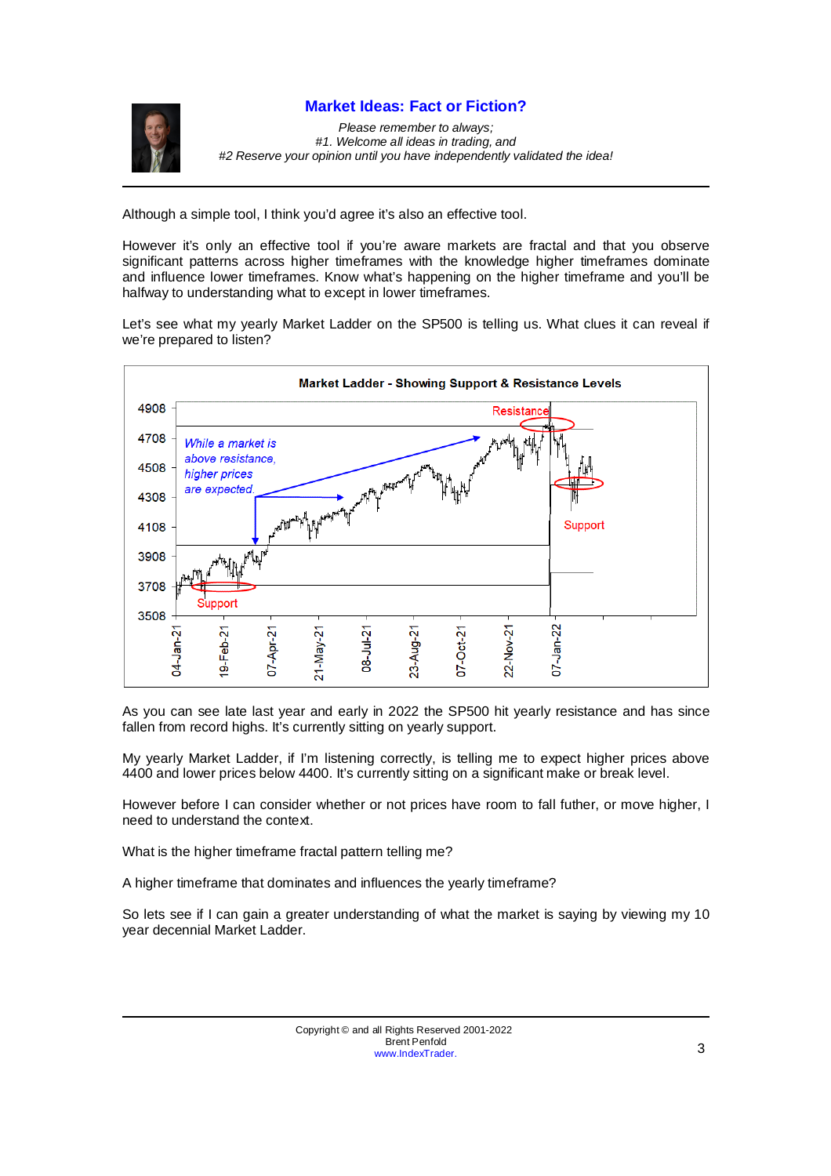

*Please remember to always; #1. Welcome all ideas in trading, and #2 Reserve your opinion until you have independently validated the idea!*

Although a simple tool, I think you'd agree it's also an effective tool.

However it's only an effective tool if you're aware markets are fractal and that you observe significant patterns across higher timeframes with the knowledge higher timeframes dominate and influence lower timeframes. Know what's happening on the higher timeframe and you'll be halfway to understanding what to except in lower timeframes.

Let's see what my yearly Market Ladder on the SP500 is telling us. What clues it can reveal if we're prepared to listen?



As you can see late last year and early in 2022 the SP500 hit yearly resistance and has since fallen from record highs. It's currently sitting on yearly support.

My yearly Market Ladder, if I'm listening correctly, is telling me to expect higher prices above 4400 and lower prices below 4400. It's currently sitting on a significant make or break level.

However before I can consider whether or not prices have room to fall futher, or move higher, I need to understand the context.

What is the higher timeframe fractal pattern telling me?

A higher timeframe that dominates and influences the yearly timeframe?

So lets see if I can gain a greater understanding of what the market is saying by viewing my 10 year decennial Market Ladder.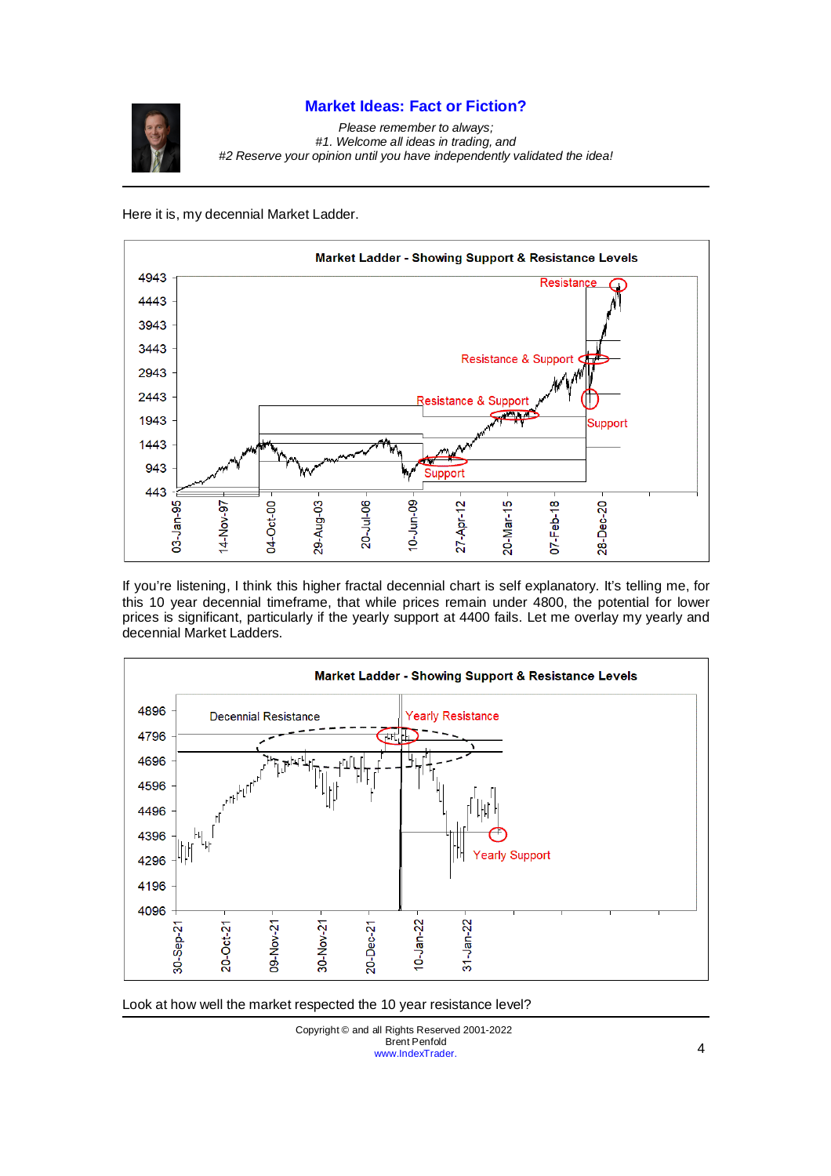

Please remember to always; *#1. Welcome all ideas in trading, and #2 Reserve your opinion until you have independently validated the idea!*

#### Here it is, my decennial Market Ladder.



If you're listening, I think this higher fractal decennial chart is self explanatory. It's telling me, for this 10 year decennial timeframe, that while prices remain under 4800, the potential for lower prices is significant, particularly if the yearly support at 4400 fails. Let me overlay my yearly and decennial Market Ladders.



Look at how well the market respected the 10 year resistance level?

Copyright © and all Rights Reserved 2001-2022 Brent Penfold Brent Pentold<br>[www.IndexTrader.](http://www.IndexTrader.) 4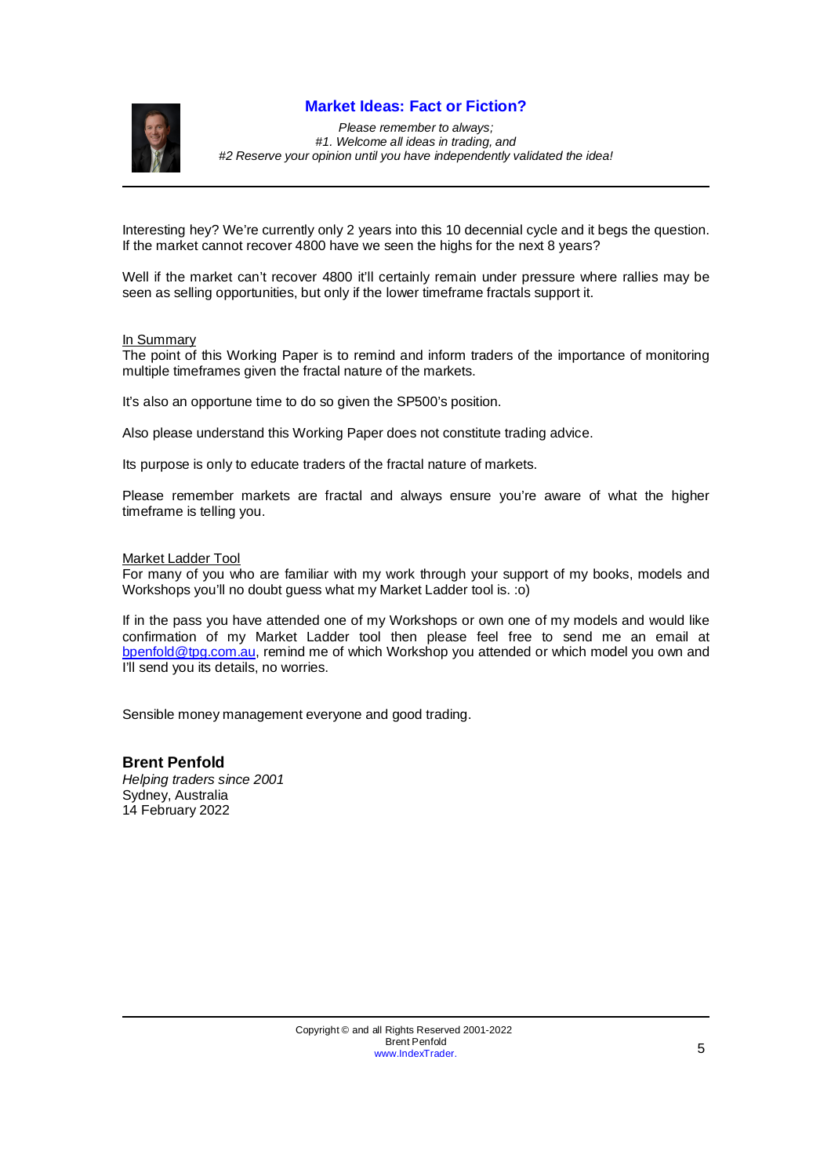

Please remember to always; *#1. Welcome all ideas in trading, and #2 Reserve your opinion until you have independently validated the idea!*

Interesting hey? We're currently only 2 years into this 10 decennial cycle and it begs the question. If the market cannot recover 4800 have we seen the highs for the next 8 years?

Well if the market can't recover 4800 it'll certainly remain under pressure where rallies may be seen as selling opportunities, but only if the lower timeframe fractals support it.

#### In Summary

The point of this Working Paper is to remind and inform traders of the importance of monitoring multiple timeframes given the fractal nature of the markets.

It's also an opportune time to do so given the SP500's position.

Also please understand this Working Paper does not constitute trading advice.

Its purpose is only to educate traders of the fractal nature of markets.

Please remember markets are fractal and always ensure you're aware of what the higher timeframe is telling you.

#### Market Ladder Tool

For many of you who are familiar with my work through your support of my books, models and Workshops you'll no doubt guess what my Market Ladder tool is. :o)

If in the pass you have attended one of my Workshops or own one of my models and would like confirmation of my Market Ladder tool then please feel free to send me an email at [bpenfold@tpg.com.au,](mailto:bpenfold@tpg.com.au,) remind me of which Workshop you attended or which model you own and I'll send you its details, no worries.

Sensible money management everyone and good trading.

### **Brent Penfold**

*Helping traders since 2001* Sydney, Australia 14 February 2022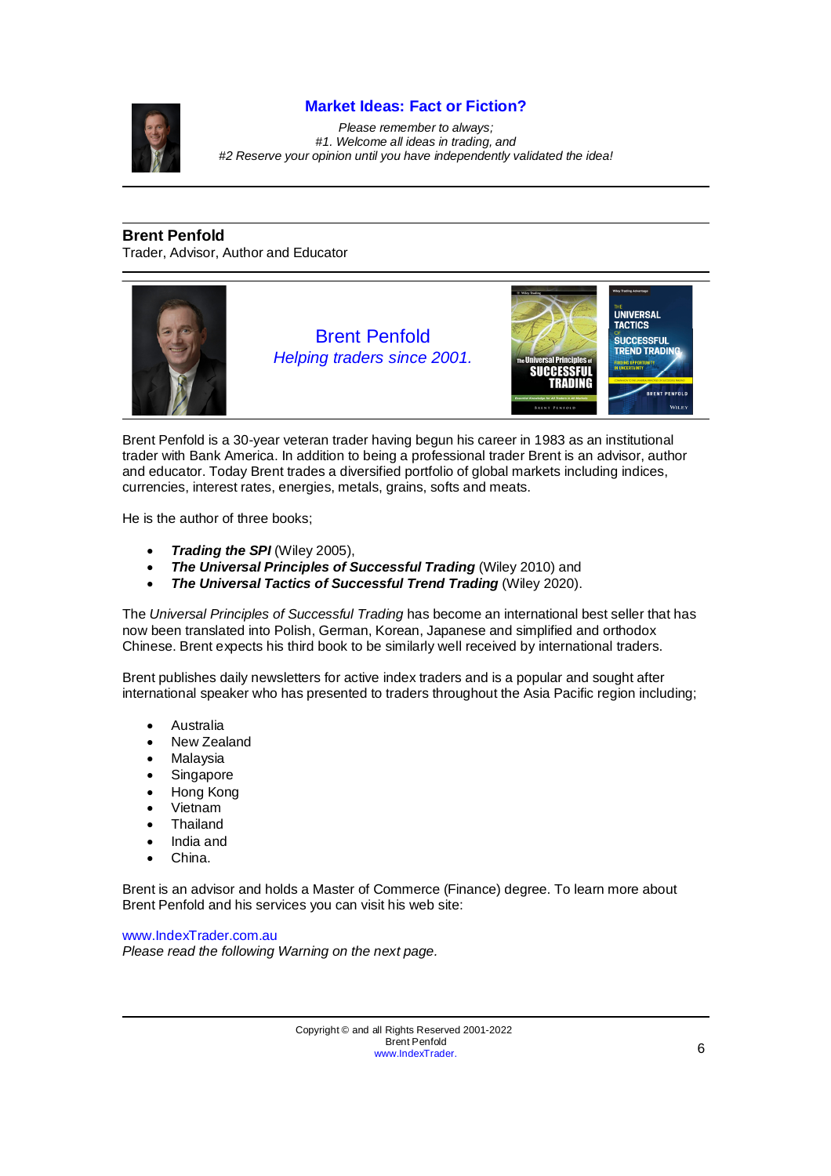

*Please remember to always; #1. Welcome all ideas in trading, and #2 Reserve your opinion until you have independently validated the idea!*

### **Brent Penfold**

Trader, Advisor, Author and Educator



Brent Penfold *Helping traders since 2001.*



Brent Penfold is a 30-year veteran trader having begun his career in 1983 as an institutional trader with Bank America. In addition to being a professional trader Brent is an advisor, author and educator. Today Brent trades a diversified portfolio of global markets including indices, currencies, interest rates, energies, metals, grains, softs and meats.

He is the author of three books;

- *Trading the SPI* (Wiley 2005),
- **The Universal Principles of Successful Trading (Wiley 2010) and**
- *The Universal Tactics of Successful Trend Trading* (Wiley 2020).

The *Universal Principles of Successful Trading* has become an international best seller that has now been translated into Polish, German, Korean, Japanese and simplified and orthodox Chinese. Brent expects his third book to be similarly well received by international traders.

Brent publishes daily newsletters for active index traders and is a popular and sought after international speaker who has presented to traders throughout the Asia Pacific region including;

- Australia
- New Zealand
- Malaysia
- Singapore
- Hong Kong
- Vietnam
- Thailand
- India and
- China.

Brent is an advisor and holds a Master of Commerce (Finance) degree. To learn more about Brent Penfold and his services you can visit his web site:

[www.IndexTrader.com.au](http://www.IndexTrader.com.au) *Please read the following Warning on the next page.*

> Copyright © and all Rights Reserved 2001-2022 Brent Penfold Brent Pentold<br>[www.IndexTrader.](http://www.IndexTrader.) 6